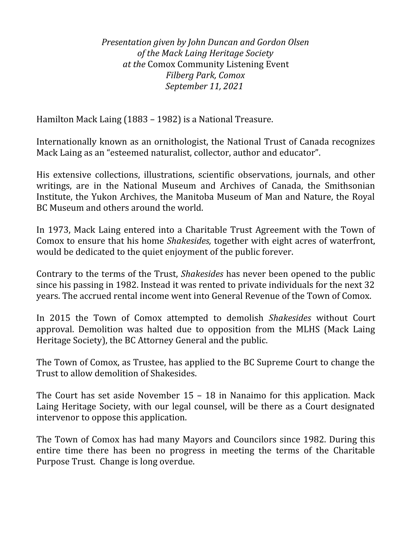*Presentation given by John Duncan and Gordon Olsen of the Mack Laing Heritage Society at the* Comox Community Listening Event *Filberg Park, Comox September 11, 2021* 

Hamilton Mack Laing (1883 – 1982) is a National Treasure.

Internationally known as an ornithologist, the National Trust of Canada recognizes Mack Laing as an "esteemed naturalist, collector, author and educator".

His extensive collections, illustrations, scientific observations, journals, and other writings, are in the National Museum and Archives of Canada, the Smithsonian Institute, the Yukon Archives, the Manitoba Museum of Man and Nature, the Royal BC Museum and others around the world.

In 1973, Mack Laing entered into a Charitable Trust Agreement with the Town of Comox to ensure that his home *Shakesides,* together with eight acres of waterfront, would be dedicated to the quiet enjoyment of the public forever.

Contrary to the terms of the Trust, *Shakesides* has never been opened to the public since his passing in 1982. Instead it was rented to private individuals for the next 32 years. The accrued rental income went into General Revenue of the Town of Comox.

In 2015 the Town of Comox attempted to demolish *Shakesides* without Court approval. Demolition was halted due to opposition from the MLHS (Mack Laing Heritage Society), the BC Attorney General and the public.

The Town of Comox, as Trustee, has applied to the BC Supreme Court to change the Trust to allow demolition of Shakesides.

The Court has set aside November 15 – 18 in Nanaimo for this application. Mack Laing Heritage Society, with our legal counsel, will be there as a Court designated intervenor to oppose this application.

The Town of Comox has had many Mayors and Councilors since 1982. During this entire time there has been no progress in meeting the terms of the Charitable Purpose Trust. Change is long overdue.